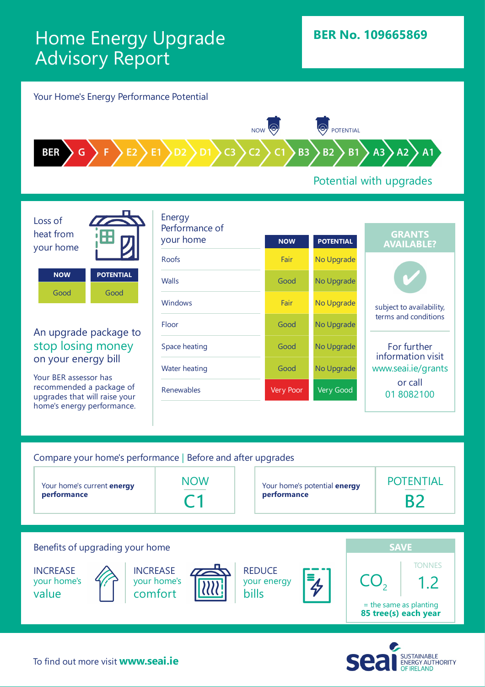## Home Energy Upgrade Advisory Report



## Potential with upgrades

Loss of heat from your home

**NOW POTENTIAL** Good Good

An upgrade package to stop losing money on your energy bill

Your BER assessor has recommended a package of upgrades that will raise your home's energy performance.

| <b>GRANTS</b><br>your home<br><b>POTENTIAL</b><br><b>NOW</b><br><b>AVAILABLE?</b><br>Roofs<br>Fair<br>No Upgrade<br>No Upgrade<br><b>Walls</b><br>Good<br><b>Windows</b><br>Fair<br>No Upgrade<br>subject to availability,<br>terms and conditions<br>Floor<br>Good<br>No Upgrade<br>For further<br>No Upgrade<br>Space heating<br>Good<br>information visit<br>www.seai.ie/grants<br>Good<br>No Upgrade<br>Water heating<br>or call<br>Renewables<br>Very Good<br><b>Very Poor</b><br>018082100 |  | Energy         |  |  |  |
|--------------------------------------------------------------------------------------------------------------------------------------------------------------------------------------------------------------------------------------------------------------------------------------------------------------------------------------------------------------------------------------------------------------------------------------------------------------------------------------------------|--|----------------|--|--|--|
|                                                                                                                                                                                                                                                                                                                                                                                                                                                                                                  |  | Performance of |  |  |  |
|                                                                                                                                                                                                                                                                                                                                                                                                                                                                                                  |  |                |  |  |  |
|                                                                                                                                                                                                                                                                                                                                                                                                                                                                                                  |  |                |  |  |  |
|                                                                                                                                                                                                                                                                                                                                                                                                                                                                                                  |  |                |  |  |  |
|                                                                                                                                                                                                                                                                                                                                                                                                                                                                                                  |  |                |  |  |  |
|                                                                                                                                                                                                                                                                                                                                                                                                                                                                                                  |  |                |  |  |  |
|                                                                                                                                                                                                                                                                                                                                                                                                                                                                                                  |  |                |  |  |  |
|                                                                                                                                                                                                                                                                                                                                                                                                                                                                                                  |  |                |  |  |  |

### Compare your home's performance | Before and after upgrades



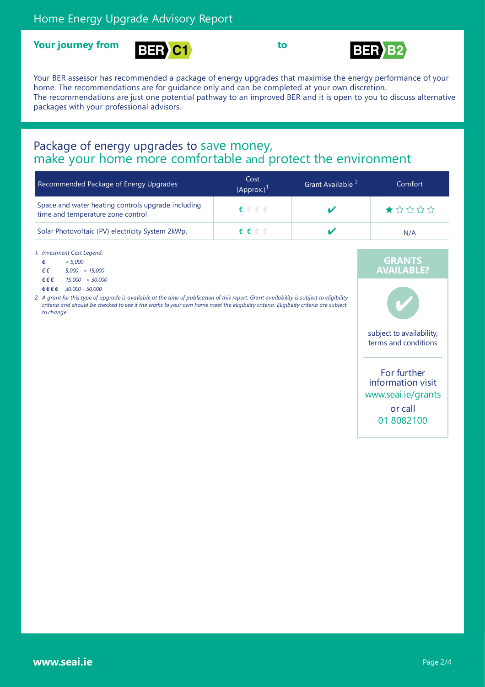





Your BER assessor has recommended a package of energy upgrades that maximise the energy performance of your home. The recommendations are for guidance only and can be completed at your own discretion. The recommendations are just one potential pathway to an improved BER and it is open to you to discuss alternative packages with your professional advisors.

# Package of energy upgrades to save money,<br>make your home more comfortable and protect the environment

| Recommended Package of Energy Upgrades                                                  | Cost<br>(Approx.) <sup>1</sup> | Grant Available <sup>2</sup> | Comfort                                                                        |  |
|-----------------------------------------------------------------------------------------|--------------------------------|------------------------------|--------------------------------------------------------------------------------|--|
| Space and water heating controls upgrade including<br>time and temperature zone control | $\epsilon \in \epsilon \in$    |                              | $\bigstar \rightsquigarrow \rightsquigarrow \rightsquigarrow \rightsquigarrow$ |  |
| Solar Photovoltaic (PV) electricity System 2kWp.                                        | $\epsilon \in \epsilon \in$    |                              | N/A                                                                            |  |

*1. Investment Cost Legend:*

*€ < 5,000 € € 5,000 - < 15,000*

*€ € € 15,000 - < 30,000*

*€ € € € 30,000 - 50,000*

2. A grant for this type of upgrade is available at the time of publication of this report. Grant availability is subject to eligibility criteria and should be checked to see if the works to your own home meet the eligibility criteria. Eligibility criteria are subject *to change.*

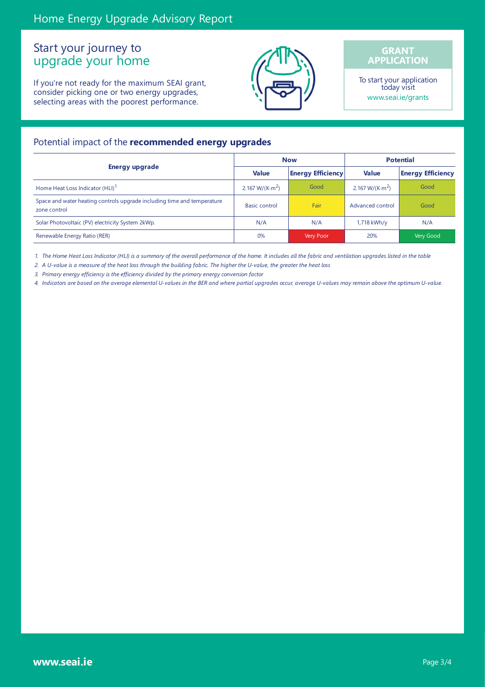## Start your journey to upgrade your home

If you're not ready for the maximum SEAI grant, consider picking one or two energy upgrades, selecting areas with the poorest performance.



#### **GRANT APPLICATION**

To start your application today visit www.seai.ie/grants

#### Potential impact of the **recommended energy upgrades**

|                                                                                         |                                     | <b>Now</b>               | <b>Potential</b>                    |                          |
|-----------------------------------------------------------------------------------------|-------------------------------------|--------------------------|-------------------------------------|--------------------------|
| Energy upgrade                                                                          | <b>Value</b>                        | <b>Energy Efficiency</b> | <b>Value</b>                        | <b>Energy Efficiency</b> |
| Home Heat Loss Indicator (HLI) <sup>1</sup>                                             | 2.167 W/(K $\cdot$ m <sup>2</sup> ) | Good                     | 2.167 W/(K $\cdot$ m <sup>2</sup> ) | Good                     |
| Space and water heating controls upgrade including time and temperature<br>zone control | <b>Basic control</b>                | Fair                     | Advanced control                    | Good                     |
| Solar Photovoltaic (PV) electricity System 2kWp.                                        | N/A                                 | N/A                      | 1,718 kWh/y                         | N/A                      |
| Renewable Energy Ratio (RER)                                                            | 0%                                  | Very Poor                | 20%                                 | Very Good                |

1. The Home Heat Loss Indicator (HLI) is a summary of the overall performance of the home. It includes all the fabric and ventilation upgrades listed in the table

2. A U-value is a measure of the heat loss through the building fabric. The higher the U-value, the greater the heat loss

*3. Primary energy efficiency is the efficiency divided by the primary energy conversion factor*

4. Indicators are based on the average elemental U-values in the BER and where partial upgrades occur, average U-values may remain above the optimum U-value.